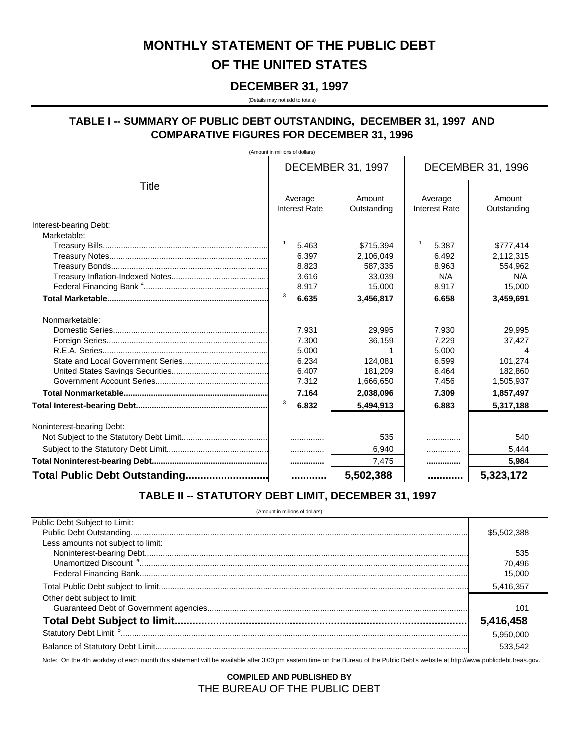# MONTHLY STATEMENT OF THE PUBLIC DEBT OF THE UNITED STATES

#### **DECEMBER 31, 1997**

(Details may not add to totals)

### TABLE I -- SUMMARY OF PUBLIC DEBT OUTSTANDING, DECEMBER 31, 1997 AND **COMPARATIVE FIGURES FOR DECEMBER 31, 1996**

(Amount in millions of dollars)

|                               |                                 | <b>DECEMBER 31, 1997</b> | <b>DECEMBER 31, 1996</b>        |                       |
|-------------------------------|---------------------------------|--------------------------|---------------------------------|-----------------------|
| Title                         | Average<br><b>Interest Rate</b> | Amount<br>Outstanding    | Average<br><b>Interest Rate</b> | Amount<br>Outstanding |
| Interest-bearing Debt:        |                                 |                          |                                 |                       |
| Marketable:                   |                                 |                          |                                 |                       |
|                               | $\mathbf{1}$<br>5.463           | \$715.394                | -1<br>5.387                     | \$777.414             |
|                               | 6.397                           | 2,106,049                | 6.492                           | 2,112,315             |
|                               | 8.823                           | 587,335                  | 8.963                           | 554.962               |
|                               | 3.616                           | 33,039                   | N/A                             | N/A                   |
|                               | 8.917                           | 15,000                   | 8.917                           | 15,000                |
|                               | 3<br>6.635                      | 3,456,817                | 6.658                           | 3,459,691             |
| Nonmarketable:                |                                 |                          |                                 |                       |
|                               | 7.931                           | 29.995                   | 7.930                           | 29,995                |
|                               | 7.300                           | 36,159                   | 7.229                           | 37,427                |
|                               | 5.000                           |                          | 5.000                           | 4                     |
|                               | 6.234                           | 124.081                  | 6.599                           | 101,274               |
|                               | 6.407                           | 181,209                  | 6.464                           | 182,860               |
|                               | 7.312                           | 1,666,650                | 7.456                           | 1,505,937             |
|                               | 7.164                           | 2,038,096                | 7.309                           | 1,857,497             |
|                               | 3<br>6.832                      | 5.494.913                | 6.883                           | 5,317,188             |
| Noninterest-bearing Debt:     |                                 |                          |                                 |                       |
|                               |                                 | 535                      | .                               | 540                   |
|                               | .                               | 6,940                    | .                               | 5,444                 |
|                               |                                 | 7,475                    |                                 | 5,984                 |
| Total Public Debt Outstanding |                                 | 5,502,388                |                                 | 5,323,172             |

## TABLE II -- STATUTORY DEBT LIMIT, DECEMBER 31, 1997

(Amount in millions of dollars)

| Public Debt Subject to Limit:      |             |
|------------------------------------|-------------|
|                                    | \$5,502,388 |
| Less amounts not subject to limit: |             |
|                                    | 535         |
|                                    | 70.496      |
|                                    | 15.000      |
|                                    | 5,416,357   |
| Other debt subject to limit:       | 101         |
|                                    | 5,416,458   |
|                                    | 5.950.000   |
|                                    |             |

Note: On the 4th workday of each month this statement will be available after 3:00 pm eastern time on the Bureau of the Public Debt's website at http://www.publicdebt.treas.gov.

**COMPILED AND PUBLISHED BY** THE BUREAU OF THE PUBLIC DEBT